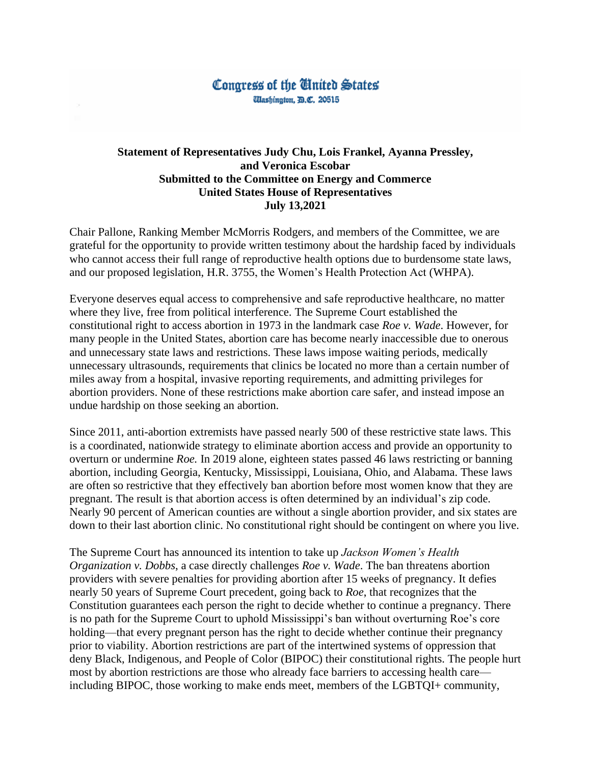## Congress of the **T**inited States *<i><u>Ulashington, B.C. 20515</u>*

## **Statement of Representatives Judy Chu, Lois Frankel, Ayanna Pressley, and Veronica Escobar Submitted to the Committee on Energy and Commerce United States House of Representatives July 13,2021**

Chair Pallone, Ranking Member McMorris Rodgers, and members of the Committee, we are grateful for the opportunity to provide written testimony about the hardship faced by individuals who cannot access their full range of reproductive health options due to burdensome state laws, and our proposed legislation, H.R. 3755, the Women's Health Protection Act (WHPA).

Everyone deserves equal access to comprehensive and safe reproductive healthcare, no matter where they live, free from political interference. The Supreme Court established the constitutional right to access abortion in 1973 in the landmark case *Roe v. Wade*. However, for many people in the United States, abortion care has become nearly inaccessible due to onerous and unnecessary state laws and restrictions. These laws impose waiting periods, medically unnecessary ultrasounds, requirements that clinics be located no more than a certain number of miles away from a hospital, invasive reporting requirements, and admitting privileges for abortion providers. None of these restrictions make abortion care safer, and instead impose an undue hardship on those seeking an abortion.

Since 2011, anti-abortion extremists have passed nearly 500 of these restrictive state laws. This is a coordinated, nationwide strategy to eliminate abortion access and provide an opportunity to overturn or undermine *Roe.* In 2019 alone, eighteen states passed 46 laws restricting or banning abortion, including Georgia, Kentucky, Mississippi, Louisiana, Ohio, and Alabama. These laws are often so restrictive that they effectively ban abortion before most women know that they are pregnant. The result is that abortion access is often determined by an individual's zip code. Nearly 90 percent of American counties are without a single abortion provider, and six states are down to their last abortion clinic. No constitutional right should be contingent on where you live.

The Supreme Court has announced its intention to take up *Jackson Women's Health Organization v. Dobbs*, a case directly challenges *Roe v. Wade*. The ban threatens abortion providers with severe penalties for providing abortion after 15 weeks of pregnancy. It defies nearly 50 years of Supreme Court precedent, going back to *Roe*, that recognizes that the Constitution guarantees each person the right to decide whether to continue a pregnancy. There is no path for the Supreme Court to uphold Mississippi's ban without overturning Roe's core holding—that every pregnant person has the right to decide whether continue their pregnancy prior to viability. Abortion restrictions are part of the intertwined systems of oppression that deny Black, Indigenous, and People of Color (BIPOC) their constitutional rights. The people hurt most by abortion restrictions are those who already face barriers to accessing health care including BIPOC, those working to make ends meet, members of the LGBTQI+ community,